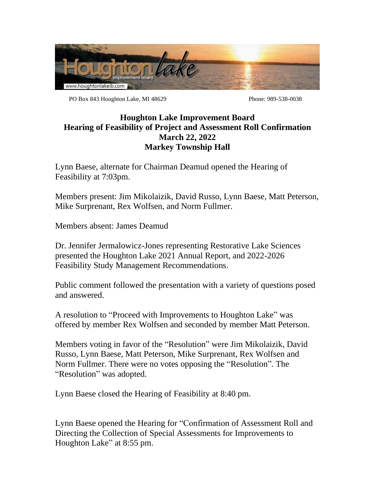

PO Box 843 Houghton Lake, MI 48629 Phone: 989-538-0038

## **Houghton Lake Improvement Board Hearing of Feasibility of Project and Assessment Roll Confirmation March 22, 2022 Markey Township Hall**

Lynn Baese, alternate for Chairman Deamud opened the Hearing of Feasibility at 7:03pm.

Members present: Jim Mikolaizik, David Russo, Lynn Baese, Matt Peterson, Mike Surprenant, Rex Wolfsen, and Norm Fullmer.

Members absent: James Deamud

Dr. Jennifer Jermalowicz-Jones representing Restorative Lake Sciences presented the Houghton Lake 2021 Annual Report, and 2022-2026 Feasibility Study Management Recommendations.

Public comment followed the presentation with a variety of questions posed and answered.

A resolution to "Proceed with Improvements to Houghton Lake" was offered by member Rex Wolfsen and seconded by member Matt Peterson.

Members voting in favor of the "Resolution" were Jim Mikolaizik, David Russo, Lynn Baese, Matt Peterson, Mike Surprenant, Rex Wolfsen and Norm Fullmer. There were no votes opposing the "Resolution". The "Resolution" was adopted.

Lynn Baese closed the Hearing of Feasibility at 8:40 pm.

Lynn Baese opened the Hearing for "Confirmation of Assessment Roll and Directing the Collection of Special Assessments for Improvements to Houghton Lake" at 8:55 pm.